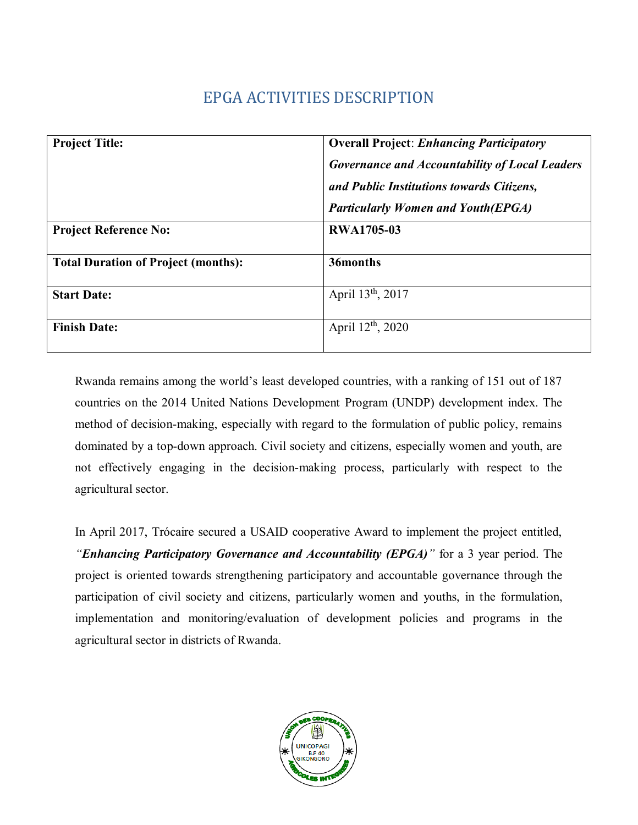# EPGA ACTIVITIES DESCRIPTION

| <b>Project Title:</b>                      | <b>Overall Project: Enhancing Participatory</b>       |  |  |  |  |
|--------------------------------------------|-------------------------------------------------------|--|--|--|--|
|                                            | <b>Governance and Accountability of Local Leaders</b> |  |  |  |  |
|                                            | and Public Institutions towards Citizens,             |  |  |  |  |
|                                            | <b>Particularly Women and Youth (EPGA)</b>            |  |  |  |  |
| <b>Project Reference No:</b>               | <b>RWA1705-03</b>                                     |  |  |  |  |
|                                            |                                                       |  |  |  |  |
| <b>Total Duration of Project (months):</b> | 36months                                              |  |  |  |  |
|                                            |                                                       |  |  |  |  |
| <b>Start Date:</b>                         | April 13 <sup>th</sup> , 2017                         |  |  |  |  |
|                                            |                                                       |  |  |  |  |
| <b>Finish Date:</b>                        | April $12^{th}$ , 2020                                |  |  |  |  |
|                                            |                                                       |  |  |  |  |

Rwanda remains among the world's least developed countries, with a ranking of 151 out of 187 countries on the 2014 United Nations Development Program (UNDP) development index. The method of decision-making, especially with regard to the formulation of public policy, remains dominated by a top-down approach. Civil society and citizens, especially women and youth, are not effectively engaging in the decision-making process, particularly with respect to the agricultural sector.

In April 2017, Trócaire secured a USAID cooperative Award to implement the project entitled, *"Enhancing Participatory Governance and Accountability (EPGA)"* for a 3 year period. The project is oriented towards strengthening participatory and accountable governance through the participation of civil society and citizens, particularly women and youths, in the formulation, implementation and monitoring/evaluation of development policies and programs in the agricultural sector in districts of Rwanda.

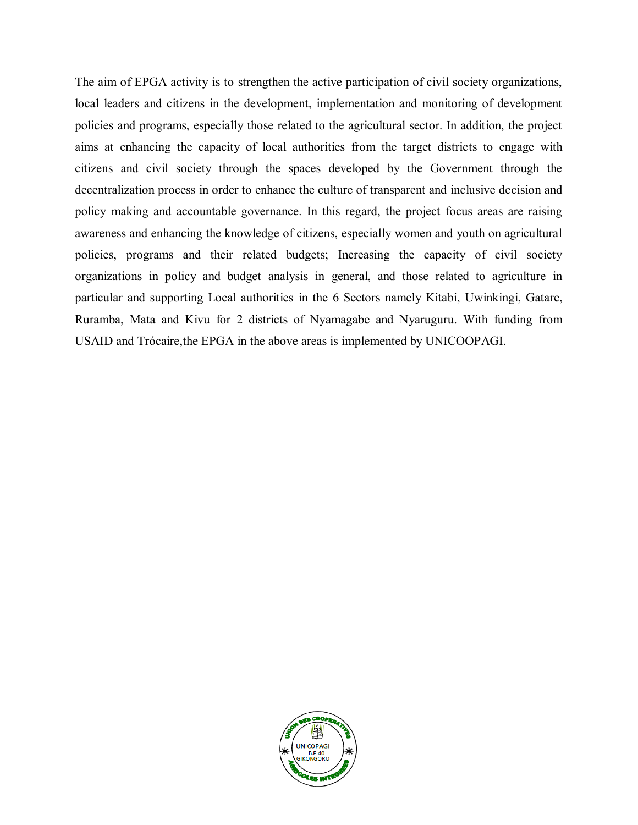The aim of EPGA activity is to strengthen the active participation of civil society organizations, local leaders and citizens in the development, implementation and monitoring of development policies and programs, especially those related to the agricultural sector. In addition, the project aims at enhancing the capacity of local authorities from the target districts to engage with citizens and civil society through the spaces developed by the Government through the decentralization process in order to enhance the culture of transparent and inclusive decision and policy making and accountable governance. In this regard, the project focus areas are raising awareness and enhancing the knowledge of citizens, especially women and youth on agricultural policies, programs and their related budgets; Increasing the capacity of civil society organizations in policy and budget analysis in general, and those related to agriculture in particular and supporting Local authorities in the 6 Sectors namely Kitabi, Uwinkingi, Gatare, Ruramba, Mata and Kivu for 2 districts of Nyamagabe and Nyaruguru. With funding from USAID and Trócaire,the EPGA in the above areas is implemented by UNICOOPAGI.

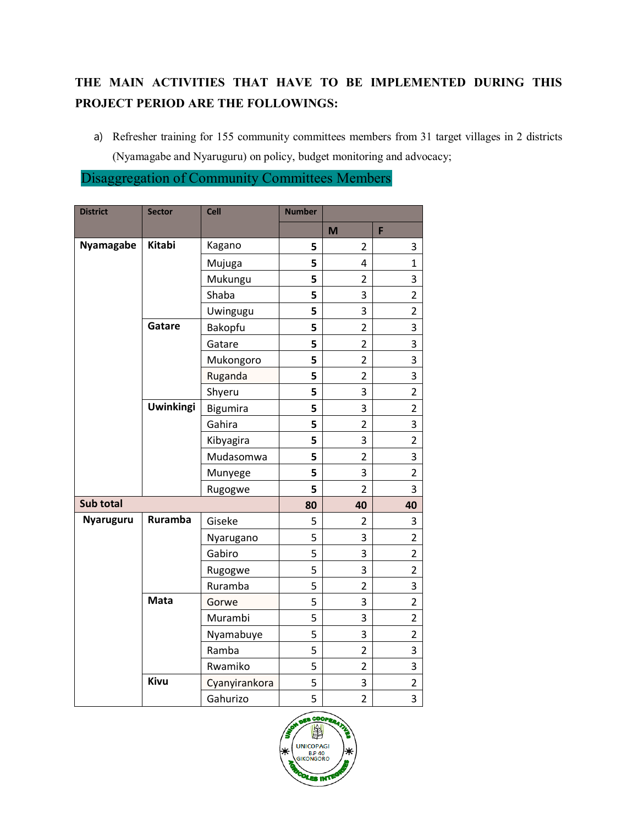## **THE MAIN ACTIVITIES THAT HAVE TO BE IMPLEMENTED DURING THIS PROJECT PERIOD ARE THE FOLLOWINGS:**

a) Refresher training for 155 community committees members from 31 target villages in 2 districts (Nyamagabe and Nyaruguru) on policy, budget monitoring and advocacy;

Disaggregation of Community Committees Members

| <b>District</b> | <b>Sector</b>    | <b>Cell</b>   | <b>Number</b> |                |                |
|-----------------|------------------|---------------|---------------|----------------|----------------|
|                 |                  |               |               | M              | F              |
| Nyamagabe       | <b>Kitabi</b>    | Kagano        | 5             | 2              | 3              |
|                 |                  | Mujuga        | 5             | $\overline{4}$ | $\mathbf{1}$   |
|                 |                  | Mukungu       | 5             | $\overline{2}$ | 3              |
|                 |                  | Shaba         | 5             | 3              | $\overline{2}$ |
|                 |                  | Uwingugu      | 5             | 3              | $\overline{2}$ |
|                 | Gatare           | Bakopfu       | 5             | $\overline{2}$ | 3              |
|                 |                  | Gatare        | 5             | $\overline{2}$ | 3              |
|                 |                  | Mukongoro     | 5             | $\overline{2}$ | 3              |
|                 |                  | Ruganda       | 5             | $\overline{2}$ | 3              |
|                 |                  | Shyeru        | 5             | 3              | $\overline{2}$ |
|                 | <b>Uwinkingi</b> | Bigumira      | 5             | 3              | $\overline{2}$ |
|                 |                  | Gahira        | 5             | $\overline{2}$ | 3              |
|                 |                  | Kibyagira     | 5             | 3              | $\overline{2}$ |
|                 |                  | Mudasomwa     | 5             | $\overline{2}$ | 3              |
|                 |                  | Munyege       | 5             | 3              | $\overline{c}$ |
|                 |                  | Rugogwe       | 5             | $\overline{2}$ | 3              |
| Sub total       |                  |               | 80            | 40             | 40             |
| Nyaruguru       | Ruramba          | Giseke        | 5             | 2              | 3              |
|                 |                  | Nyarugano     | 5             | 3              | $\overline{2}$ |
|                 |                  | Gabiro        | 5             | 3              | $\overline{2}$ |
|                 |                  | Rugogwe       | 5             | 3              | $\overline{2}$ |
|                 |                  | Ruramba       | 5             | $\overline{2}$ | 3              |
|                 | Mata             | Gorwe         | 5             | 3              | $\overline{2}$ |
|                 |                  | Murambi       | 5             | 3              | $\overline{2}$ |
|                 |                  | Nyamabuye     | 5             | 3              | $\overline{2}$ |
|                 |                  | Ramba         | 5             | $\overline{2}$ | 3              |
|                 |                  | Rwamiko       | 5             | $\overline{2}$ | 3              |
|                 | Kivu             | Cyanyirankora | 5             | 3              | $\overline{c}$ |
|                 |                  | Gahurizo      | 5             | $\overline{2}$ | 3              |

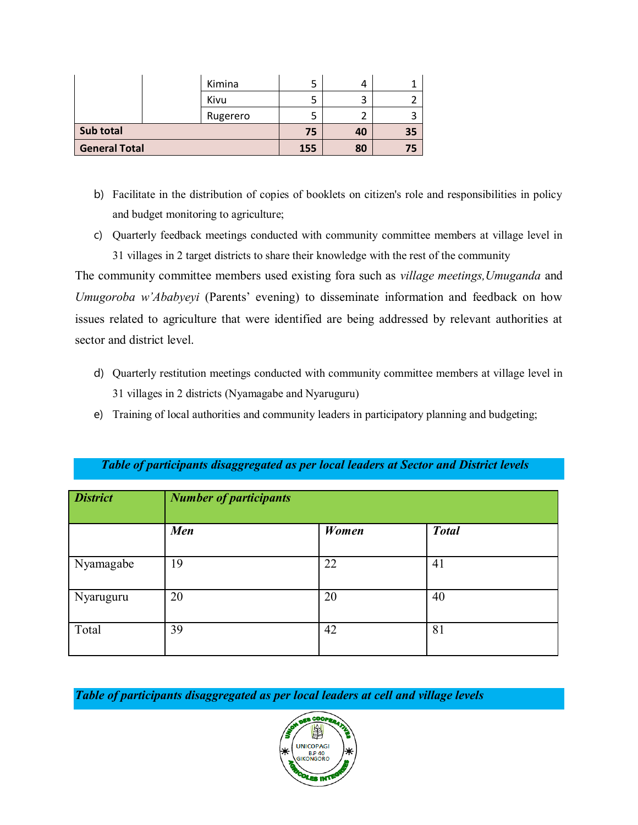|                      | Kimina   |    | 4      |  |
|----------------------|----------|----|--------|--|
|                      | Kivu     |    | ς<br>د |  |
|                      | Rugerero |    |        |  |
| Sub total            | 75       | 40 | 35     |  |
| <b>General Total</b> | 155      | 80 | 75     |  |

- b) Facilitate in the distribution of copies of booklets on citizen's role and responsibilities in policy and budget monitoring to agriculture;
- c) Quarterly feedback meetings conducted with community committee members at village level in 31 villages in 2 target districts to share their knowledge with the rest of the community

The community committee members used existing fora such as *village meetings,Umuganda* and *Umugoroba w'Ababyeyi* (Parents' evening) to disseminate information and feedback on how issues related to agriculture that were identified are being addressed by relevant authorities at sector and district level.

- d) Quarterly restitution meetings conducted with community committee members at village level in 31 villages in 2 districts (Nyamagabe and Nyaruguru)
- e) Training of local authorities and community leaders in participatory planning and budgeting;

| <b>District</b> | <b>Number of participants</b> |       |              |
|-----------------|-------------------------------|-------|--------------|
|                 | <b>Men</b>                    | Women | <b>Total</b> |
| Nyamagabe       | 19                            | 22    | 41           |
| Nyaruguru       | 20                            | 20    | 40           |
| Total           | 39                            | 42    | 81           |

#### *Table of participants disaggregated as per local leaders at Sector and District levels*

*Table of participants disaggregated as per local leaders at cell and village levels*

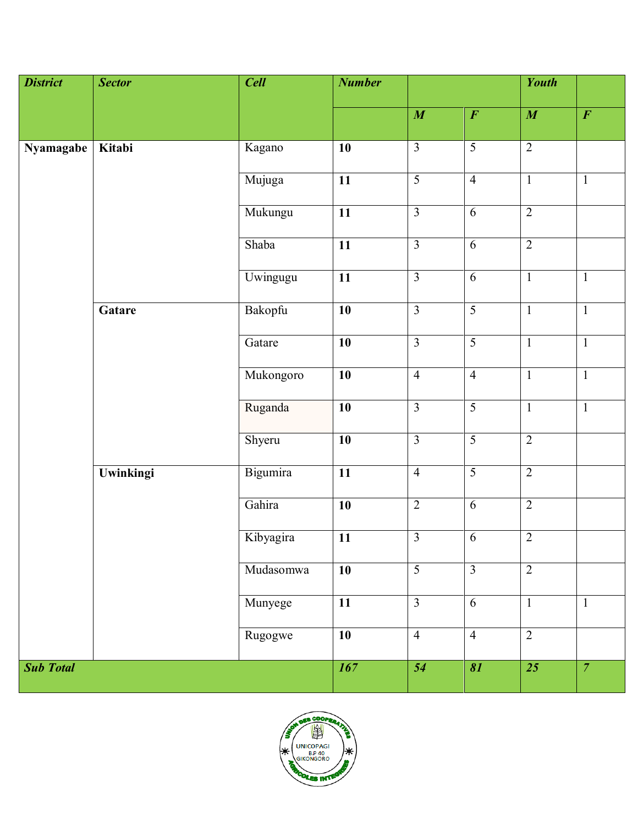| <b>District</b>  | <b>Sector</b> | <b>Cell</b> | <b>Number</b>   |                 |                       | <b>Youth</b>    |                |
|------------------|---------------|-------------|-----------------|-----------------|-----------------------|-----------------|----------------|
|                  |               |             |                 | $\overline{M}$  | $\overline{\bm{F}}$   | $\overline{M}$  | $\overline{F}$ |
| Nyamagabe        | Kitabi        | Kagano      | $\overline{10}$ | $\overline{3}$  | $\overline{5}$        | $\overline{2}$  |                |
|                  |               | Mujuga      | $\overline{11}$ | $\overline{5}$  | $\overline{4}$        | $\mathbf{1}$    | $\mathbf{1}$   |
|                  |               | Mukungu     | $\overline{11}$ | $\overline{3}$  | $\overline{6}$        | $\overline{2}$  |                |
|                  |               | Shaba       | $\overline{11}$ | $\overline{3}$  | $\overline{6}$        | $\overline{2}$  |                |
|                  |               | Uwingugu    | $\overline{11}$ | $\overline{3}$  | 6                     | $\mathbf{1}$    | $\mathbf{1}$   |
|                  | Gatare        | Bakopfu     | $\overline{10}$ | $\overline{3}$  | $\overline{5}$        | $\overline{1}$  | $\overline{1}$ |
|                  |               | Gatare      | 10              | $\overline{3}$  | $\overline{5}$        | $\mathbf{1}$    | $\overline{1}$ |
|                  |               | Mukongoro   | $\overline{10}$ | $\overline{4}$  | $\overline{4}$        | $\mathbf{1}$    | $\mathbf{1}$   |
|                  |               | Ruganda     | $\overline{10}$ | $\overline{3}$  | $\overline{5}$        | $\overline{1}$  | $\overline{1}$ |
|                  |               | Shyeru      | $\overline{10}$ | $\overline{3}$  | $\overline{5}$        | $\overline{2}$  |                |
|                  | Uwinkingi     | Bigumira    | $\overline{11}$ | $\overline{4}$  | $\overline{5}$        | $\overline{2}$  |                |
|                  |               | Gahira      | $\overline{10}$ | $\overline{2}$  | $\overline{6}$        | $\overline{2}$  |                |
|                  |               | Kibyagira   | 11              | $\overline{3}$  | 6                     | $\overline{2}$  |                |
|                  |               | Mudasomwa   | $\overline{10}$ | $\overline{5}$  | $\overline{3}$        | $\overline{2}$  |                |
|                  |               | Munyege     | $\overline{11}$ | $\overline{3}$  | $\overline{6}$        | $\mathbf{1}$    | $\mathbf{1}$   |
|                  |               | Rugogwe     | $\overline{10}$ | $\overline{4}$  | $\overline{4}$        | $\overline{2}$  |                |
| <b>Sub Total</b> |               |             | 167             | $\overline{54}$ | $\overline{\delta l}$ | $\overline{25}$ | $\overline{7}$ |

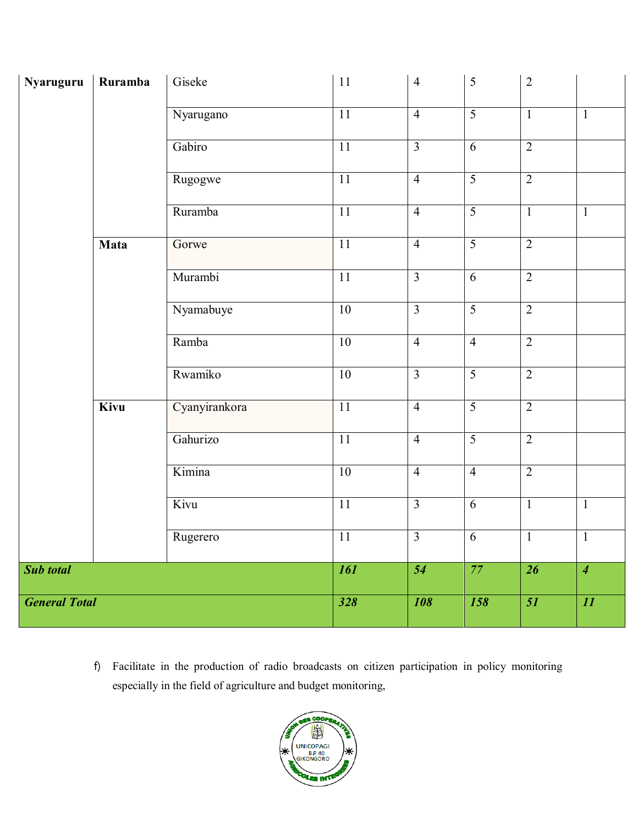| Nyaruguru            | Ruramba     | Giseke           | $11\,$          | $\overline{4}$          | $\sqrt{5}$      | $\overline{2}$          |                |
|----------------------|-------------|------------------|-----------------|-------------------------|-----------------|-------------------------|----------------|
|                      |             | Nyarugano        | 11              | $\overline{4}$          | $\overline{5}$  | $\mathbf{1}$            | $\mathbf{1}$   |
|                      |             | Gabiro           | $\overline{11}$ | $\overline{3}$          | $\overline{6}$  | $\overline{2}$          |                |
|                      |             | Rugogwe          | $\overline{11}$ | $\overline{4}$          | $\overline{5}$  | $\overline{2}$          |                |
|                      |             | Ruramba          | $\overline{11}$ | $\overline{4}$          | $\overline{5}$  | $\mathbf{1}$            | $\mathbf{1}$   |
|                      | Mata        | Gorwe            | $\overline{11}$ | $\overline{4}$          | $\overline{5}$  | $\overline{2}$          |                |
|                      |             | Murambi          | $\overline{11}$ | $\overline{\mathbf{3}}$ | $\overline{6}$  | $\overline{2}$          |                |
|                      |             | Nyamabuye        | 10              | $\overline{3}$          | $\overline{5}$  | $\overline{2}$          |                |
|                      |             | Ramba            | 10              | $\overline{4}$          | $\overline{4}$  | $\overline{2}$          |                |
|                      |             | Rwamiko          | 10              | $\overline{3}$          | $\overline{5}$  | $\overline{2}$          |                |
|                      | <b>Kivu</b> | Cyanyirankora    | $\overline{11}$ | $\overline{4}$          | $\overline{5}$  | $\overline{2}$          |                |
|                      |             | Gahurizo         | $\overline{11}$ | $\overline{4}$          | $\overline{5}$  | $\overline{2}$          |                |
|                      |             | Kimina           | 10              | $\overline{4}$          | $\overline{4}$  | $\overline{2}$          |                |
|                      |             | Kivu             | $\overline{11}$ | $\overline{\mathbf{3}}$ | 6               | $\mathbf{1}$            | $\mathbf{1}$   |
|                      |             | Rugerero         | 11              | $\overline{3}$          | $6\overline{6}$ | $\overline{1}$          | $\overline{1}$ |
| Sub total            |             |                  | <b>161</b>      | $\overline{54}$         | 77              | $\overline{26}$         | $\overline{4}$ |
| <b>General Total</b> |             | $\overline{328}$ | <b>108</b>      | 158                     | $\overline{51}$ | $\overline{\mathbf{H}}$ |                |

f) Facilitate in the production of radio broadcasts on citizen participation in policy monitoring especially in the field of agriculture and budget monitoring,

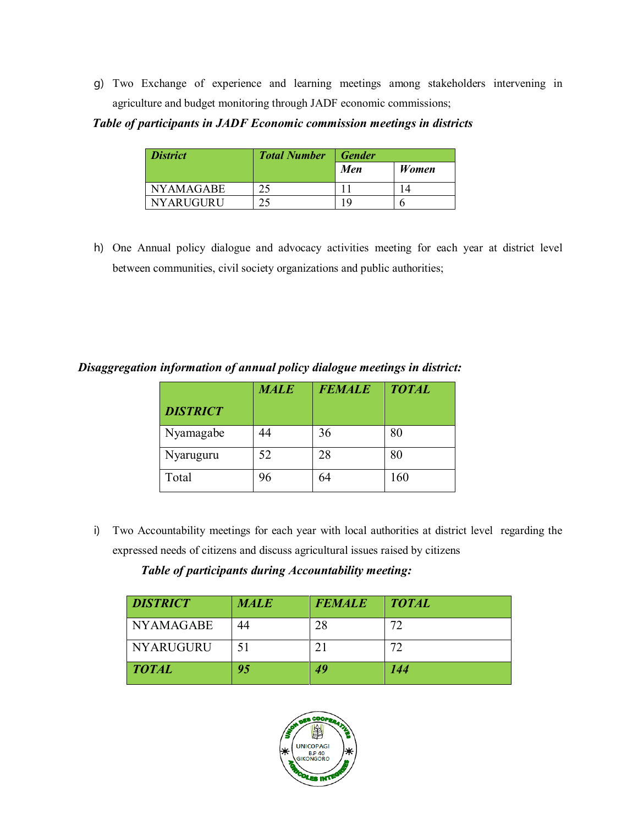g) Two Exchange of experience and learning meetings among stakeholders intervening in agriculture and budget monitoring through JADF economic commissions;

*Table of participants in JADF Economic commission meetings in districts*

| <b>District</b>  | <b>Total Number</b> | <b>Gender</b> |       |
|------------------|---------------------|---------------|-------|
|                  |                     | Men           | Women |
| <b>NYAMAGABE</b> | つく                  |               |       |
| <b>NYARUGURU</b> | $\bigcap$           | -C)           |       |

h) One Annual policy dialogue and advocacy activities meeting for each year at district level between communities, civil society organizations and public authorities;

*Disaggregation information of annual policy dialogue meetings in district:* 

|                 | <b>MALE</b> | <b>FEMALE</b> | <b>TOTAL</b> |
|-----------------|-------------|---------------|--------------|
| <b>DISTRICT</b> |             |               |              |
| Nyamagabe       | 44          | 36            | 80           |
| Nyaruguru       | 52          | 28            | 80           |
| Total           | 96          | 64            | 160          |

i) Two Accountability meetings for each year with local authorities at district level regarding the expressed needs of citizens and discuss agricultural issues raised by citizens

### *Table of participants during Accountability meeting:*

| <b>DISTRICT</b>  | <b>MALE</b> | <b>FEMALE</b> | <b>TOTAL</b> |
|------------------|-------------|---------------|--------------|
| <b>NYAMAGABE</b> | 44          | 28            | 72           |
| <b>NYARUGURU</b> | 51          |               | 72           |
| <b>TOTAL</b>     | 95          | 49            | 144          |

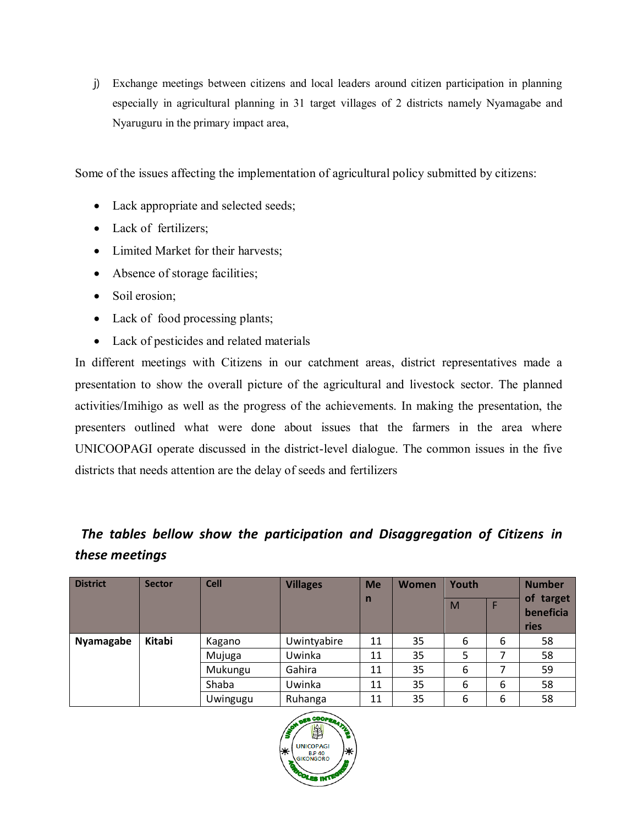j) Exchange meetings between citizens and local leaders around citizen participation in planning especially in agricultural planning in 31 target villages of 2 districts namely Nyamagabe and Nyaruguru in the primary impact area,

Some of the issues affecting the implementation of agricultural policy submitted by citizens:

- Lack appropriate and selected seeds;
- Lack of fertilizers;
- Limited Market for their harvests;
- Absence of storage facilities;
- Soil erosion;
- Lack of food processing plants;
- Lack of pesticides and related materials

In different meetings with Citizens in our catchment areas, district representatives made a presentation to show the overall picture of the agricultural and livestock sector. The planned activities/Imihigo as well as the progress of the achievements. In making the presentation, the presenters outlined what were done about issues that the farmers in the area where UNICOOPAGI operate discussed in the district-level dialogue. The common issues in the five districts that needs attention are the delay of seeds and fertilizers

### *The tables bellow show the participation and Disaggregation of Citizens in these meetings*

| <b>District</b> | <b>Sector</b> | <b>Cell</b> | <b>Villages</b> | <b>Me</b>    | <b>Women</b> | Youth |   | <b>Number</b>          |
|-----------------|---------------|-------------|-----------------|--------------|--------------|-------|---|------------------------|
|                 |               |             |                 | $\mathsf{n}$ |              | M     |   | of target<br>beneficia |
|                 |               |             |                 |              |              |       |   | ries                   |
| Nyamagabe       | Kitabi        | Kagano      | Uwintyabire     | 11           | 35           | 6     | 6 | 58                     |
|                 |               | Mujuga      | Uwinka          | 11           | 35           | 5     |   | 58                     |
|                 |               | Mukungu     | Gahira          | 11           | 35           | 6     |   | 59                     |
|                 |               | Shaba       | Uwinka          | 11           | 35           | 6     | 6 | 58                     |
|                 |               | Uwingugu    | Ruhanga         | 11           | 35           | 6     | 6 | 58                     |

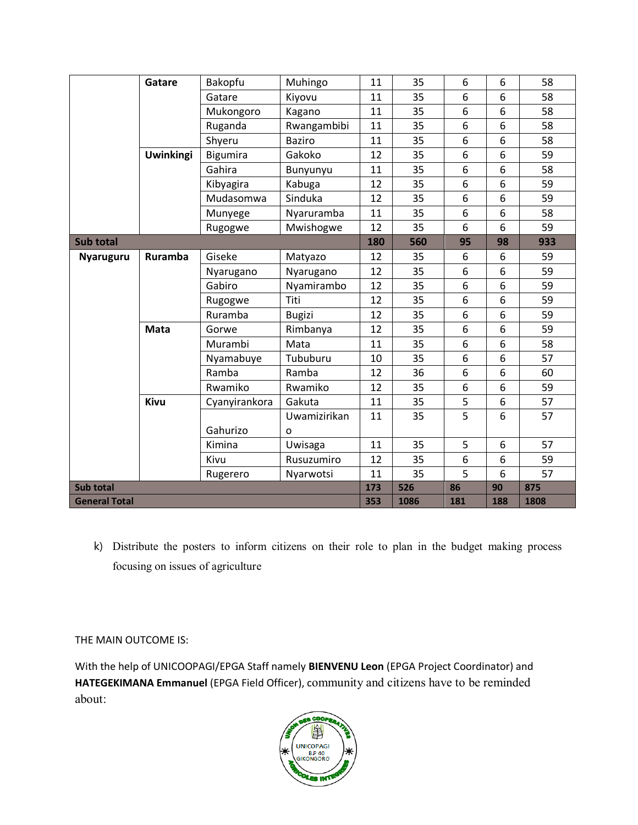|                      | Gatare           | Bakopfu       | Muhingo       | 11   | 35  | 6   | 6                | 58  |
|----------------------|------------------|---------------|---------------|------|-----|-----|------------------|-----|
|                      |                  | Gatare        | Kiyovu        | 11   | 35  | 6   | 6                | 58  |
|                      |                  | Mukongoro     | Kagano        | 11   | 35  | 6   | 6                | 58  |
|                      |                  | Ruganda       | Rwangambibi   | 11   | 35  | 6   | 6                | 58  |
|                      |                  | Shyeru        | <b>Baziro</b> | 11   | 35  | 6   | 6                | 58  |
|                      | <b>Uwinkingi</b> | Bigumira      | Gakoko        | 12   | 35  | 6   | 6                | 59  |
|                      |                  | Gahira        | Bunyunyu      | 11   | 35  | 6   | 6                | 58  |
|                      |                  | Kibyagira     | Kabuga        | 12   | 35  | 6   | 6                | 59  |
|                      |                  | Mudasomwa     | Sinduka       | 12   | 35  | 6   | 6                | 59  |
|                      |                  | Munyege       | Nyaruramba    | 11   | 35  | 6   | 6                | 58  |
|                      |                  | Rugogwe       | Mwishogwe     | 12   | 35  | 6   | 6                | 59  |
| <b>Sub total</b>     |                  |               |               | 180  | 560 | 95  | 98               | 933 |
| <b>Nyaruguru</b>     | Ruramba          | Giseke        | Matyazo       | 12   | 35  | 6   | 6                | 59  |
|                      |                  | Nyarugano     | Nyarugano     | 12   | 35  | 6   | 6                | 59  |
|                      |                  | Gabiro        | Nyamirambo    | 12   | 35  | 6   | 6                | 59  |
|                      |                  | Rugogwe       | Titi          | 12   | 35  | 6   | 6                | 59  |
|                      |                  | Ruramba       | <b>Bugizi</b> | 12   | 35  | 6   | 6                | 59  |
|                      | <b>Mata</b>      | Gorwe         | Rimbanya      | 12   | 35  | 6   | 6                | 59  |
|                      |                  | Murambi       | Mata          | 11   | 35  | 6   | 6                | 58  |
|                      |                  | Nyamabuye     | Tububuru      | 10   | 35  | 6   | 6                | 57  |
|                      |                  | Ramba         | Ramba         | 12   | 36  | 6   | 6                | 60  |
|                      |                  | Rwamiko       | Rwamiko       | 12   | 35  | 6   | 6                | 59  |
|                      | Kivu             | Cyanyirankora | Gakuta        | 11   | 35  | 5   | $\boldsymbol{6}$ | 57  |
|                      |                  |               | Uwamizirikan  | 11   | 35  | 5   | 6                | 57  |
|                      |                  | Gahurizo      | O             |      |     |     |                  |     |
|                      |                  | Kimina        | Uwisaga       | 11   | 35  | 5   | 6                | 57  |
|                      |                  | Kivu          | Rusuzumiro    | 12   | 35  | 6   | 6                | 59  |
|                      |                  | Rugerero      | Nyarwotsi     | 11   | 35  | 5   | 6                | 57  |
| <b>Sub total</b>     |                  |               |               | 173  | 526 | 86  | 90               | 875 |
| <b>General Total</b> |                  |               | 353           | 1086 | 181 | 188 | 1808             |     |

k) Distribute the posters to inform citizens on their role to plan in the budget making process focusing on issues of agriculture

THE MAIN OUTCOME IS:

With the help of UNICOOPAGI/EPGA Staff namely **BIENVENU Leon** (EPGA Project Coordinator) and **HATEGEKIMANA Emmanuel** (EPGA Field Officer), community and citizens have to be reminded about: